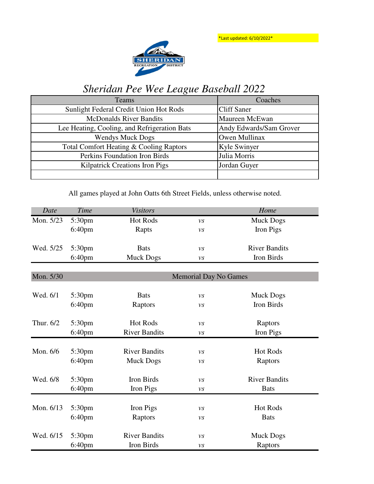\*Last updated: 6/10/2022\*



## *Sheridan Pee Wee League Baseball 2022*

| Teams                                        | Coaches                 |  |
|----------------------------------------------|-------------------------|--|
| Sunlight Federal Credit Union Hot Rods       | <b>Cliff Saner</b>      |  |
| <b>McDonalds River Bandits</b>               | Maureen McEwan          |  |
| Lee Heating, Cooling, and Refrigeration Bats | Andy Edwards/Sam Grover |  |
| <b>Wendys Muck Dogs</b>                      | Owen Mullinax           |  |
| Total Comfort Heating & Cooling Raptors      | Kyle Swinyer            |  |
| Perkins Foundation Iron Birds                | Julia Morris            |  |
| <b>Kilpatrick Creations Iron Pigs</b>        | Jordan Guyer            |  |
|                                              |                         |  |

All games played at John Oatts 6th Street Fields, unless otherwise noted.

| Date      | <b>Time</b>        | <b>Visitors</b>      |                              | Home                 |  |  |
|-----------|--------------------|----------------------|------------------------------|----------------------|--|--|
| Mon. 5/23 | 5:30pm             | <b>Hot Rods</b>      | $\mathcal{V}\mathcal{S}$     | <b>Muck Dogs</b>     |  |  |
|           | 6:40 <sub>pm</sub> | Rapts                | $\mathcal{V}\mathcal{S}$     | Iron Pigs            |  |  |
|           |                    |                      |                              |                      |  |  |
| Wed. 5/25 | 5:30pm             | <b>Bats</b>          | $\nu s$                      | <b>River Bandits</b> |  |  |
|           | 6:40pm             | <b>Muck Dogs</b>     | $\nu s$                      | Iron Birds           |  |  |
|           |                    |                      |                              |                      |  |  |
| Mon. 5/30 |                    |                      | <b>Memorial Day No Games</b> |                      |  |  |
|           |                    |                      |                              |                      |  |  |
| Wed. 6/1  | 5:30pm             | <b>Bats</b>          | $\mathcal{V}\mathcal{S}$     | <b>Muck Dogs</b>     |  |  |
|           | 6:40 <sub>pm</sub> | Raptors              | $\nu s$                      | Iron Birds           |  |  |
|           |                    |                      |                              |                      |  |  |
| Thur. 6/2 | 5:30pm             | <b>Hot Rods</b>      | $\mathcal{V}\mathcal{S}$     | Raptors              |  |  |
|           | 6:40 <sub>pm</sub> | <b>River Bandits</b> | $\nu s$                      | Iron Pigs            |  |  |
|           |                    |                      |                              |                      |  |  |
| Mon. 6/6  | 5:30 <sub>pm</sub> | <b>River Bandits</b> | $\mathcal{V}\mathcal{S}$     | <b>Hot Rods</b>      |  |  |
|           | 6:40 <sub>pm</sub> | <b>Muck Dogs</b>     | $\mathcal{V}\mathcal{S}$     | Raptors              |  |  |
|           |                    |                      |                              |                      |  |  |
| Wed. 6/8  | 5:30pm             | Iron Birds           | $\nu s$                      | <b>River Bandits</b> |  |  |
|           | 6:40 <sub>pm</sub> | Iron Pigs            | $\nu s$                      | <b>Bats</b>          |  |  |
|           |                    |                      |                              |                      |  |  |
| Mon. 6/13 | 5:30pm             | Iron Pigs            | $\nu s$                      | <b>Hot Rods</b>      |  |  |
|           | 6:40 <sub>pm</sub> | Raptors              | $\nu s$                      | <b>Bats</b>          |  |  |
|           |                    |                      |                              |                      |  |  |
| Wed. 6/15 | 5:30pm             | <b>River Bandits</b> | $\nu s$                      | <b>Muck Dogs</b>     |  |  |
|           | 6:40pm             | Iron Birds           | $\nu s$                      | Raptors              |  |  |